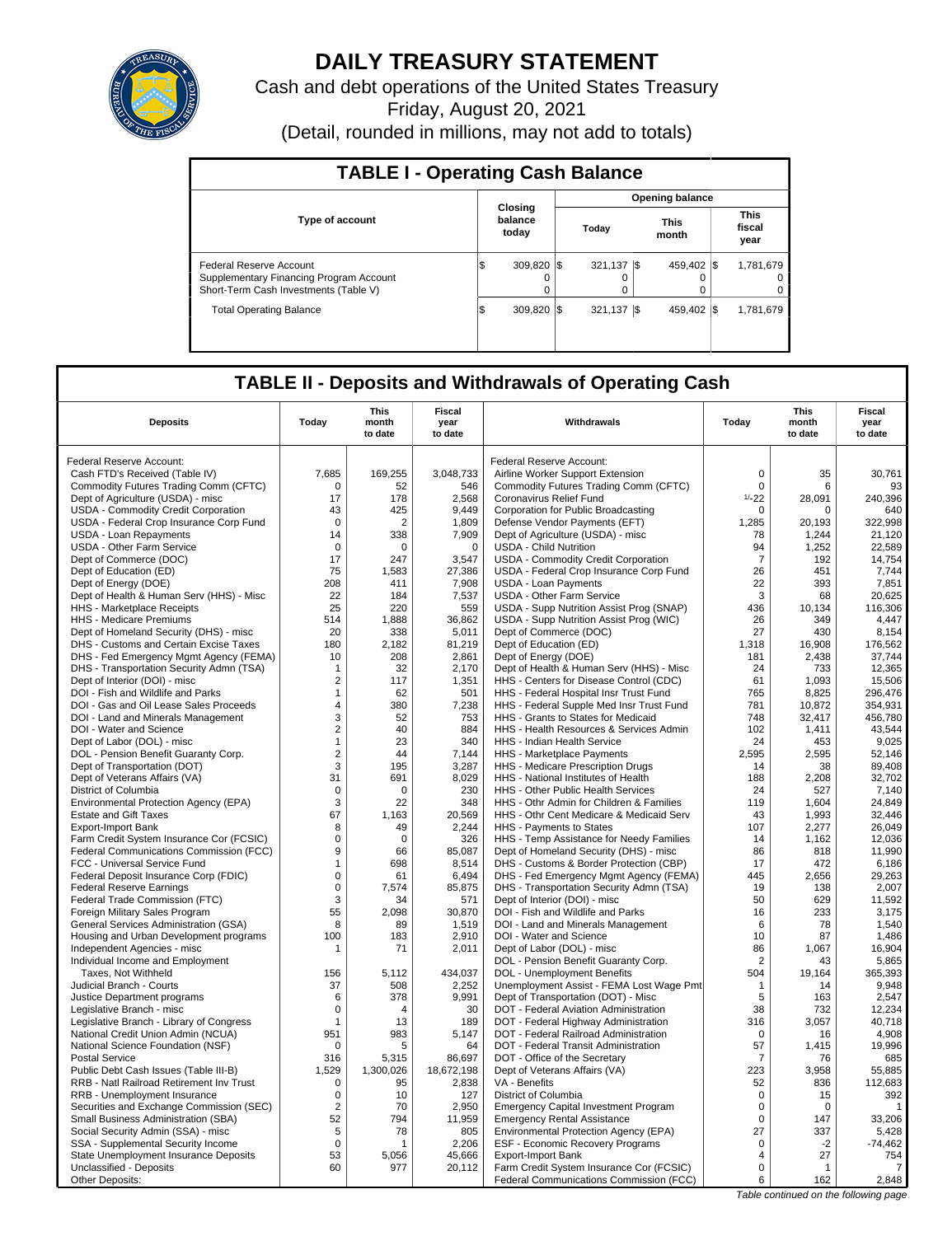

# **DAILY TREASURY STATEMENT**

Cash and debt operations of the United States Treasury Friday, August 20, 2021

(Detail, rounded in millions, may not add to totals)

| <b>TABLE I - Operating Cash Balance</b>                                                                     |                             |                        |                          |                               |  |  |  |  |  |  |
|-------------------------------------------------------------------------------------------------------------|-----------------------------|------------------------|--------------------------|-------------------------------|--|--|--|--|--|--|
|                                                                                                             |                             | <b>Opening balance</b> |                          |                               |  |  |  |  |  |  |
| <b>Type of account</b>                                                                                      | Closing<br>balance<br>today | Today                  | This<br>month            | <b>This</b><br>fiscal<br>year |  |  |  |  |  |  |
| Federal Reserve Account<br>Supplementary Financing Program Account<br>Short-Term Cash Investments (Table V) | 309.820<br>Φ<br>$\Omega$    | 321.137<br>0           | 459.402 \\$<br>- IS      | 1,781,679<br>0<br>0           |  |  |  |  |  |  |
| <b>Total Operating Balance</b>                                                                              | 309.820 \\ \$<br>\$         | 321,137                | 459.402 \\$<br><b>IS</b> | 1,781,679                     |  |  |  |  |  |  |

## **TABLE II - Deposits and Withdrawals of Operating Cash**

|                                                                  |                            | <b>This</b>  | Fiscal     |                                                                                     |                               | <b>This</b>  | <b>Fiscal</b>         |
|------------------------------------------------------------------|----------------------------|--------------|------------|-------------------------------------------------------------------------------------|-------------------------------|--------------|-----------------------|
| <b>Deposits</b>                                                  | Today                      | month        | year       | Withdrawals                                                                         | Today                         | month        | year                  |
|                                                                  |                            | to date      | to date    |                                                                                     |                               | to date      | to date               |
| Federal Reserve Account:                                         |                            |              |            | Federal Reserve Account:                                                            |                               |              |                       |
| Cash FTD's Received (Table IV)                                   | 7.685                      | 169,255      | 3,048,733  | Airline Worker Support Extension                                                    | $\mathbf 0$                   | 35           | 30.761                |
| Commodity Futures Trading Comm (CFTC)                            | $\mathbf 0$                | 52           | 546        | Commodity Futures Trading Comm (CFTC)                                               | $\mathbf 0$                   | 6            | 93                    |
| Dept of Agriculture (USDA) - misc                                | 17                         | 178          | 2.568      | Coronavirus Relief Fund                                                             | $1/-22$                       | 28.091       | 240.396               |
| USDA - Commodity Credit Corporation                              | 43                         | 425          | 9,449      | Corporation for Public Broadcasting                                                 | $\mathbf 0$                   | $\Omega$     | 640                   |
| USDA - Federal Crop Insurance Corp Fund                          | 0                          | 2            | 1.809      | Defense Vendor Payments (EFT)                                                       | 1.285                         | 20.193       | 322.998               |
| <b>USDA - Loan Repayments</b>                                    | 14                         | 338          | 7,909      | Dept of Agriculture (USDA) - misc                                                   | 78                            | 1,244        | 21,120                |
| USDA - Other Farm Service                                        | $\Omega$                   | $\Omega$     | $\Omega$   | <b>USDA - Child Nutrition</b>                                                       | 94                            | 1,252        | 22,589                |
| Dept of Commerce (DOC)                                           | 17                         | 247          | 3,547      | USDA - Commodity Credit Corporation                                                 | $\overline{7}$                | 192          | 14,754                |
| Dept of Education (ED)                                           | 75                         | 1,583        | 27,386     | USDA - Federal Crop Insurance Corp Fund                                             | 26                            | 451          | 7,744                 |
| Dept of Energy (DOE)                                             | 208                        | 411          | 7,908      | <b>USDA - Loan Payments</b>                                                         | 22                            | 393          | 7,851                 |
| Dept of Health & Human Serv (HHS) - Misc                         | 22                         | 184          | 7,537      | USDA - Other Farm Service                                                           | 3                             | 68           | 20,625                |
| HHS - Marketplace Receipts                                       | 25                         | 220          | 559        | USDA - Supp Nutrition Assist Prog (SNAP)                                            | 436                           | 10.134       | 116.306               |
| HHS - Medicare Premiums                                          | 514                        | 1,888        | 36,862     | USDA - Supp Nutrition Assist Prog (WIC)                                             | 26                            | 349          | 4,447                 |
| Dept of Homeland Security (DHS) - misc                           | 20                         | 338          | 5,011      | Dept of Commerce (DOC)                                                              | 27                            | 430          | 8,154                 |
| DHS - Customs and Certain Excise Taxes                           | 180                        | 2,182        | 81,219     | Dept of Education (ED)                                                              | 1,318                         | 16,908       | 176,562               |
| DHS - Fed Emergency Mgmt Agency (FEMA)                           | 10                         | 208          | 2,861      | Dept of Energy (DOE)                                                                | 181                           | 2,438        | 37,744                |
| DHS - Transportation Security Admn (TSA)                         | 1                          | 32           | 2,170      | Dept of Health & Human Serv (HHS) - Misc                                            | 24                            | 733          | 12,365                |
| Dept of Interior (DOI) - misc                                    | $\overline{2}$             | 117          | 1,351      | HHS - Centers for Disease Control (CDC)                                             | 61                            | 1.093        | 15,506                |
| DOI - Fish and Wildlife and Parks                                | $\mathbf{1}$               | 62           | 501        | HHS - Federal Hospital Insr Trust Fund                                              | 765                           | 8,825        | 296,476               |
| DOI - Gas and Oil Lease Sales Proceeds                           | 4<br>3                     | 380          | 7,238      | HHS - Federal Supple Med Insr Trust Fund                                            | 781                           | 10,872       | 354,931               |
| DOI - Land and Minerals Management                               |                            | 52<br>40     | 753<br>884 | HHS - Grants to States for Medicaid<br>HHS - Health Resources & Services Admin      | 748<br>102                    | 32.417       | 456,780               |
| DOI - Water and Science<br>Dept of Labor (DOL) - misc            | $\sqrt{2}$<br>$\mathbf{1}$ | 23           | 340        | HHS - Indian Health Service                                                         | 24                            | 1,411<br>453 | 43,544<br>9,025       |
| DOL - Pension Benefit Guaranty Corp.                             | $\sqrt{2}$                 | 44           | 7.144      | HHS - Marketplace Payments                                                          | 2.595                         | 2,595        | 52,146                |
| Dept of Transportation (DOT)                                     | 3                          | 195          | 3,287      | HHS - Medicare Prescription Drugs                                                   | 14                            | 38           | 89,408                |
| Dept of Veterans Affairs (VA)                                    | 31                         | 691          | 8,029      | HHS - National Institutes of Health                                                 | 188                           | 2,208        | 32,702                |
| District of Columbia                                             | $\mathbf 0$                | $\mathbf 0$  | 230        | HHS - Other Public Health Services                                                  | 24                            | 527          | 7,140                 |
| Environmental Protection Agency (EPA)                            | 3                          | 22           | 348        | HHS - Othr Admin for Children & Families                                            | 119                           | 1,604        | 24,849                |
| <b>Estate and Gift Taxes</b>                                     | 67                         | 1,163        | 20,569     | HHS - Othr Cent Medicare & Medicaid Serv                                            | 43                            | 1,993        | 32,446                |
| <b>Export-Import Bank</b>                                        | 8                          | 49           | 2,244      | HHS - Payments to States                                                            | 107                           | 2,277        | 26,049                |
| Farm Credit System Insurance Cor (FCSIC)                         | $\mathbf 0$                | $\mathbf 0$  | 326        | HHS - Temp Assistance for Needy Families                                            | 14                            | 1,162        | 12,036                |
| Federal Communications Commission (FCC)                          | 9                          | 66           | 85,087     | Dept of Homeland Security (DHS) - misc                                              | 86                            | 818          | 11,990                |
| FCC - Universal Service Fund                                     | $\mathbf{1}$               | 698          | 8.514      | DHS - Customs & Border Protection (CBP)                                             | 17                            | 472          | 6.186                 |
| Federal Deposit Insurance Corp (FDIC)                            | $\mathbf 0$                | 61           | 6,494      | DHS - Fed Emergency Mgmt Agency (FEMA)                                              | 445                           | 2,656        | 29,263                |
| <b>Federal Reserve Earnings</b>                                  | $\mathbf 0$                | 7,574        | 85,875     | DHS - Transportation Security Admn (TSA)                                            | 19                            | 138          | 2.007                 |
| Federal Trade Commission (FTC)                                   | 3                          | 34           | 571        | Dept of Interior (DOI) - misc                                                       | 50                            | 629          | 11,592                |
| Foreign Military Sales Program                                   | 55                         | 2.098        | 30,870     | DOI - Fish and Wildlife and Parks                                                   | 16                            | 233          | 3,175                 |
| General Services Administration (GSA)                            | 8                          | 89           | 1,519      | DOI - Land and Minerals Management                                                  | 6                             | 78           | 1,540                 |
| Housing and Urban Development programs                           | 100                        | 183          | 2,910      | DOI - Water and Science                                                             | 10                            | 87           | 1,486                 |
| Independent Agencies - misc                                      | 1                          | 71           | 2,011      | Dept of Labor (DOL) - misc                                                          | 86                            | 1,067        | 16,904                |
| Individual Income and Employment                                 |                            |              |            | DOL - Pension Benefit Guaranty Corp.                                                | $\overline{2}$                | 43           | 5,865                 |
| Taxes, Not Withheld                                              | 156                        | 5,112        | 434,037    | DOL - Unemployment Benefits                                                         | 504                           | 19,164       | 365,393               |
| Judicial Branch - Courts                                         | 37                         | 508          | 2,252      | Unemployment Assist - FEMA Lost Wage Pmt                                            | $\mathbf{1}$                  | 14           | 9,948                 |
| Justice Department programs                                      | 6                          | 378          | 9,991      | Dept of Transportation (DOT) - Misc                                                 | 5                             | 163          | 2,547                 |
| Legislative Branch - misc                                        | $\mathbf 0$                | 4            | 30         | DOT - Federal Aviation Administration                                               | 38                            | 732          | 12,234                |
| Legislative Branch - Library of Congress                         | 1                          | 13           | 189        | DOT - Federal Highway Administration                                                | 316                           | 3,057        | 40,718                |
| National Credit Union Admin (NCUA)                               | 951                        | 983          | 5,147      | DOT - Federal Railroad Administration                                               | 0                             | 16           | 4,908                 |
| National Science Foundation (NSF)                                | $\mathbf 0$                | 5            | 64         | DOT - Federal Transit Administration                                                | 57                            | 1,415        | 19,996                |
| <b>Postal Service</b>                                            | 316                        | 5,315        | 86,697     | DOT - Office of the Secretary                                                       | $\overline{7}$                | 76           | 685                   |
| Public Debt Cash Issues (Table III-B)                            | 1,529                      | 1,300,026    | 18,672,198 | Dept of Veterans Affairs (VA)                                                       | 223                           | 3,958        | 55,885                |
| RRB - Natl Railroad Retirement Inv Trust                         | $\mathbf 0$                | 95           | 2,838      | VA - Benefits                                                                       | 52                            | 836          | 112,683               |
| RRB - Unemployment Insurance                                     | $\mathbf 0$                | 10           | 127        | District of Columbia                                                                | $\mathbf 0$                   | 15           | 392                   |
| Securities and Exchange Commission (SEC)                         | $\overline{2}$             | 70           | 2,950      | <b>Emergency Capital Investment Program</b>                                         | $\mathbf 0$                   | $\Omega$     | $\overline{1}$        |
| Small Business Administration (SBA)                              | 52                         | 794          | 11,959     | <b>Emergency Rental Assistance</b>                                                  | $\mathbf 0$                   | 147          | 33,206                |
| Social Security Admin (SSA) - misc                               | 5                          | 78           | 805        | Environmental Protection Agency (EPA)                                               | 27                            | 337          | 5,428                 |
| SSA - Supplemental Security Income                               | $\mathbf 0$<br>53          | 1            | 2,206      | ESF - Economic Recovery Programs                                                    | $\mathbf 0$<br>$\overline{4}$ | $-2$<br>27   | $-74.462$             |
| State Unemployment Insurance Deposits<br>Unclassified - Deposits | 60                         | 5,056<br>977 | 45,666     | <b>Export-Import Bank</b>                                                           | $\mathbf 0$                   | $\mathbf{1}$ | 754<br>$\overline{7}$ |
| Other Deposits:                                                  |                            |              | 20,112     | Farm Credit System Insurance Cor (FCSIC)<br>Federal Communications Commission (FCC) | 6                             | 162          | 2,848                 |
|                                                                  |                            |              |            |                                                                                     |                               |              |                       |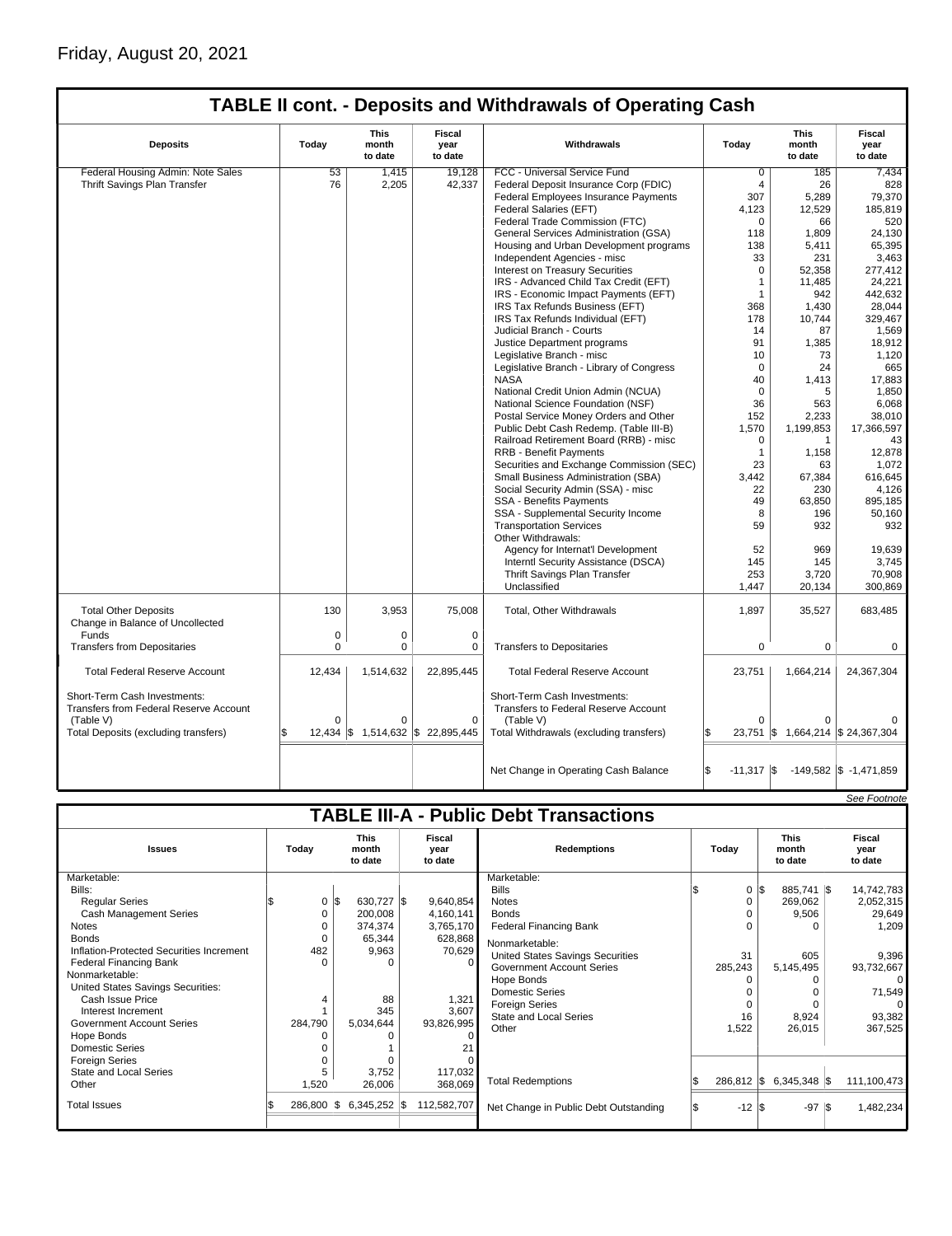## Friday, August 20, 2021

|                                                                        |             |                                 |                                   | <b>TABLE II cont. - Deposits and Withdrawals of Operating Cash</b>   |                     |                                 |                                   |
|------------------------------------------------------------------------|-------------|---------------------------------|-----------------------------------|----------------------------------------------------------------------|---------------------|---------------------------------|-----------------------------------|
| <b>Deposits</b>                                                        | Today       | <b>This</b><br>month<br>to date | <b>Fiscal</b><br>year<br>to date  | Withdrawals                                                          | Today               | <b>This</b><br>month<br>to date | <b>Fiscal</b><br>year<br>to date  |
| Federal Housing Admin: Note Sales                                      | 53          | 1,415                           | 19,128                            | FCC - Universal Service Fund                                         | 0                   | 185                             | 7,434                             |
| Thrift Savings Plan Transfer                                           | 76          | 2,205                           | 42,337                            | Federal Deposit Insurance Corp (FDIC)                                | $\overline{4}$      | 26                              | 828                               |
|                                                                        |             |                                 |                                   | Federal Employees Insurance Payments                                 | 307                 | 5,289                           | 79,370                            |
|                                                                        |             |                                 |                                   | Federal Salaries (EFT)                                               | 4,123               | 12,529                          | 185,819                           |
|                                                                        |             |                                 |                                   | Federal Trade Commission (FTC)                                       | $\Omega$            | 66                              | 520                               |
|                                                                        |             |                                 |                                   | General Services Administration (GSA)                                | 118                 | 1,809                           | 24,130                            |
|                                                                        |             |                                 |                                   | Housing and Urban Development programs                               | 138                 | 5,411                           | 65,395                            |
|                                                                        |             |                                 |                                   | Independent Agencies - misc                                          | 33                  | 231                             | 3,463                             |
|                                                                        |             |                                 |                                   | <b>Interest on Treasury Securities</b>                               | $\Omega$            |                                 | 277,412                           |
|                                                                        |             |                                 |                                   | IRS - Advanced Child Tax Credit (EFT)                                | $\overline{1}$      | 52,358<br>11,485                | 24,221                            |
|                                                                        |             |                                 |                                   |                                                                      |                     |                                 |                                   |
|                                                                        |             |                                 |                                   | IRS - Economic Impact Payments (EFT)                                 | $\mathbf{1}$        | 942                             | 442,632                           |
|                                                                        |             |                                 |                                   | IRS Tax Refunds Business (EFT)                                       | 368                 | 1,430                           | 28.044                            |
|                                                                        |             |                                 |                                   | IRS Tax Refunds Individual (EFT)                                     | 178                 | 10.744                          | 329.467                           |
|                                                                        |             |                                 |                                   | Judicial Branch - Courts                                             | 14                  | 87                              | 1,569                             |
|                                                                        |             |                                 |                                   | Justice Department programs                                          | 91                  | 1,385                           | 18,912                            |
|                                                                        |             |                                 |                                   | Legislative Branch - misc                                            | 10                  | 73                              | 1,120                             |
|                                                                        |             |                                 |                                   | Legislative Branch - Library of Congress                             | $\mathbf 0$         | 24                              | 665                               |
|                                                                        |             |                                 |                                   | <b>NASA</b>                                                          | 40                  | 1,413                           | 17,883                            |
|                                                                        |             |                                 |                                   | National Credit Union Admin (NCUA)                                   | $\Omega$            | 5                               | 1,850                             |
|                                                                        |             |                                 |                                   | National Science Foundation (NSF)                                    | 36                  | 563                             | 6,068                             |
|                                                                        |             |                                 |                                   | Postal Service Money Orders and Other                                | 152                 | 2,233                           | 38,010                            |
|                                                                        |             |                                 |                                   | Public Debt Cash Redemp. (Table III-B)                               | 1,570               | 1,199,853                       | 17,366,597                        |
|                                                                        |             |                                 |                                   | Railroad Retirement Board (RRB) - misc                               | $\mathbf 0$         | $\mathbf{1}$                    | 43                                |
|                                                                        |             |                                 |                                   | <b>RRB - Benefit Payments</b>                                        | $\mathbf{1}$        | 1,158                           | 12.878                            |
|                                                                        |             |                                 |                                   | Securities and Exchange Commission (SEC)                             | 23                  | 63                              | 1,072                             |
|                                                                        |             |                                 |                                   | Small Business Administration (SBA)                                  | 3.442               | 67,384                          | 616,645                           |
|                                                                        |             |                                 |                                   | Social Security Admin (SSA) - misc                                   | 22                  | 230                             | 4,126                             |
|                                                                        |             |                                 |                                   | <b>SSA - Benefits Payments</b>                                       | 49                  | 63,850                          | 895,185                           |
|                                                                        |             |                                 |                                   | SSA - Supplemental Security Income                                   | 8                   | 196                             | 50,160                            |
|                                                                        |             |                                 |                                   | <b>Transportation Services</b>                                       | 59                  | 932                             | 932                               |
|                                                                        |             |                                 |                                   | Other Withdrawals:                                                   |                     |                                 |                                   |
|                                                                        |             |                                 |                                   | Agency for Internat'l Development                                    | 52                  | 969                             | 19,639                            |
|                                                                        |             |                                 |                                   | Interntl Security Assistance (DSCA)                                  | 145                 | 145                             | 3,745                             |
|                                                                        |             |                                 |                                   | Thrift Savings Plan Transfer                                         | 253                 | 3,720                           | 70,908                            |
|                                                                        |             |                                 |                                   | Unclassified                                                         | 1,447               | 20,134                          | 300,869                           |
| <b>Total Other Deposits</b><br>Change in Balance of Uncollected        | 130         | 3,953                           | 75,008                            | Total, Other Withdrawals                                             | 1,897               | 35,527                          | 683,485                           |
| Funds                                                                  | $\mathbf 0$ | $\mathbf 0$                     | $\mathbf 0$                       |                                                                      |                     |                                 |                                   |
| <b>Transfers from Depositaries</b>                                     | 0           | $\mathbf 0$                     | 0                                 | <b>Transfers to Depositaries</b>                                     | $\mathbf 0$         | 0                               | 0                                 |
|                                                                        |             |                                 |                                   |                                                                      |                     |                                 |                                   |
| <b>Total Federal Reserve Account</b>                                   | 12,434      | 1,514,632                       | 22,895,445                        | <b>Total Federal Reserve Account</b>                                 | 23,751              | 1,664,214                       | 24,367,304                        |
| Short-Term Cash Investments:<br>Transfers from Federal Reserve Account |             |                                 |                                   | Short-Term Cash Investments:<br>Transfers to Federal Reserve Account |                     |                                 |                                   |
| (Table V)                                                              | 0           | $\mathbf 0$                     | $\mathbf 0$                       | (Table V)                                                            | $\bigcap$           | $\Omega$                        |                                   |
| Total Deposits (excluding transfers)                                   | \$          |                                 | 12,434 \$ 1,514,632 \$ 22,895,445 | Total Withdrawals (excluding transfers)                              | l\$                 |                                 | 23,751 \$ 1,664,214 \$ 24,367,304 |
|                                                                        |             |                                 |                                   |                                                                      |                     |                                 |                                   |
|                                                                        |             |                                 |                                   | Net Change in Operating Cash Balance                                 | l\$<br>$-11,317$ \$ |                                 | $-149,582$ \$ $-1,471,859$        |

|                                               |  |         |    |                                 |  |                           |                                         |     |                       |  |                                 | See Footnote              |
|-----------------------------------------------|--|---------|----|---------------------------------|--|---------------------------|-----------------------------------------|-----|-----------------------|--|---------------------------------|---------------------------|
| <b>TABLE III-A - Public Debt Transactions</b> |  |         |    |                                 |  |                           |                                         |     |                       |  |                                 |                           |
| <b>Issues</b>                                 |  | Today   |    | <b>This</b><br>month<br>to date |  | Fiscal<br>year<br>to date | <b>Redemptions</b>                      |     | Todav                 |  | <b>This</b><br>month<br>to date | Fiscal<br>year<br>to date |
| Marketable:                                   |  |         |    |                                 |  |                           | Marketable:                             |     |                       |  |                                 |                           |
| Bills:                                        |  |         |    |                                 |  |                           | <b>Bills</b>                            |     | 0                     |  | 885,741 \$                      | 14,742,783                |
| <b>Regular Series</b>                         |  | 0       | \$ | 630,727 \$                      |  | 9,640,854                 | <b>Notes</b>                            |     | $\Omega$              |  | 269,062                         | 2,052,315                 |
| <b>Cash Management Series</b>                 |  | 0       |    | 200,008                         |  | 4,160,141                 | <b>Bonds</b>                            |     | O                     |  | 9,506                           | 29,649                    |
| <b>Notes</b>                                  |  |         |    | 374,374                         |  | 3,765,170                 | <b>Federal Financing Bank</b>           |     |                       |  |                                 | 1,209                     |
| <b>Bonds</b>                                  |  |         |    | 65,344                          |  | 628,868                   | Nonmarketable:                          |     |                       |  |                                 |                           |
| Inflation-Protected Securities Increment      |  | 482     |    | 9,963                           |  | 70,629                    | <b>United States Savings Securities</b> |     | 31                    |  | 605                             | 9,396                     |
| Federal Financing Bank                        |  |         |    | $\Omega$                        |  | $\Omega$                  | <b>Government Account Series</b>        |     | 285,243               |  | 5,145,495                       | 93,732,667                |
| Nonmarketable:                                |  |         |    |                                 |  |                           | Hope Bonds                              |     |                       |  |                                 |                           |
| United States Savings Securities:             |  |         |    |                                 |  |                           | Domestic Series                         |     |                       |  |                                 | 71,549                    |
| Cash Issue Price                              |  |         |    | 88                              |  | 1,321                     | <b>Foreign Series</b>                   |     | $\Omega$              |  |                                 |                           |
| Interest Increment                            |  |         |    | 345                             |  | 3,607                     | <b>State and Local Series</b>           |     | 16                    |  | 8,924                           | 93,382                    |
| <b>Government Account Series</b>              |  | 284,790 |    | 5,034,644                       |  | 93,826,995                | Other                                   |     | 1,522                 |  | 26,015                          | 367,525                   |
| Hope Bonds                                    |  |         |    |                                 |  | $\Omega$                  |                                         |     |                       |  |                                 |                           |
| Domestic Series                               |  |         |    |                                 |  |                           |                                         |     |                       |  |                                 |                           |
| Foreign Series                                |  |         |    | C                               |  |                           |                                         |     |                       |  |                                 |                           |
| State and Local Series                        |  |         |    | 3.752                           |  | 117,032                   |                                         |     |                       |  |                                 |                           |
| Other                                         |  | 1,520   |    | 26,006                          |  | 368,069                   | <b>Total Redemptions</b>                |     | $286,812$ $\sqrt{\$}$ |  | $6,345,348$ \\$                 | 111,100,473               |
| <b>Total Issues</b>                           |  | 286,800 | \$ | $6,345,252$ \$                  |  | 112,582,707               | Net Change in Public Debt Outstanding   | 135 | $-12$ $\sqrt{3}$      |  | $-97$ $\sqrt{5}$                | 1,482,234                 |
|                                               |  |         |    |                                 |  |                           |                                         |     |                       |  |                                 |                           |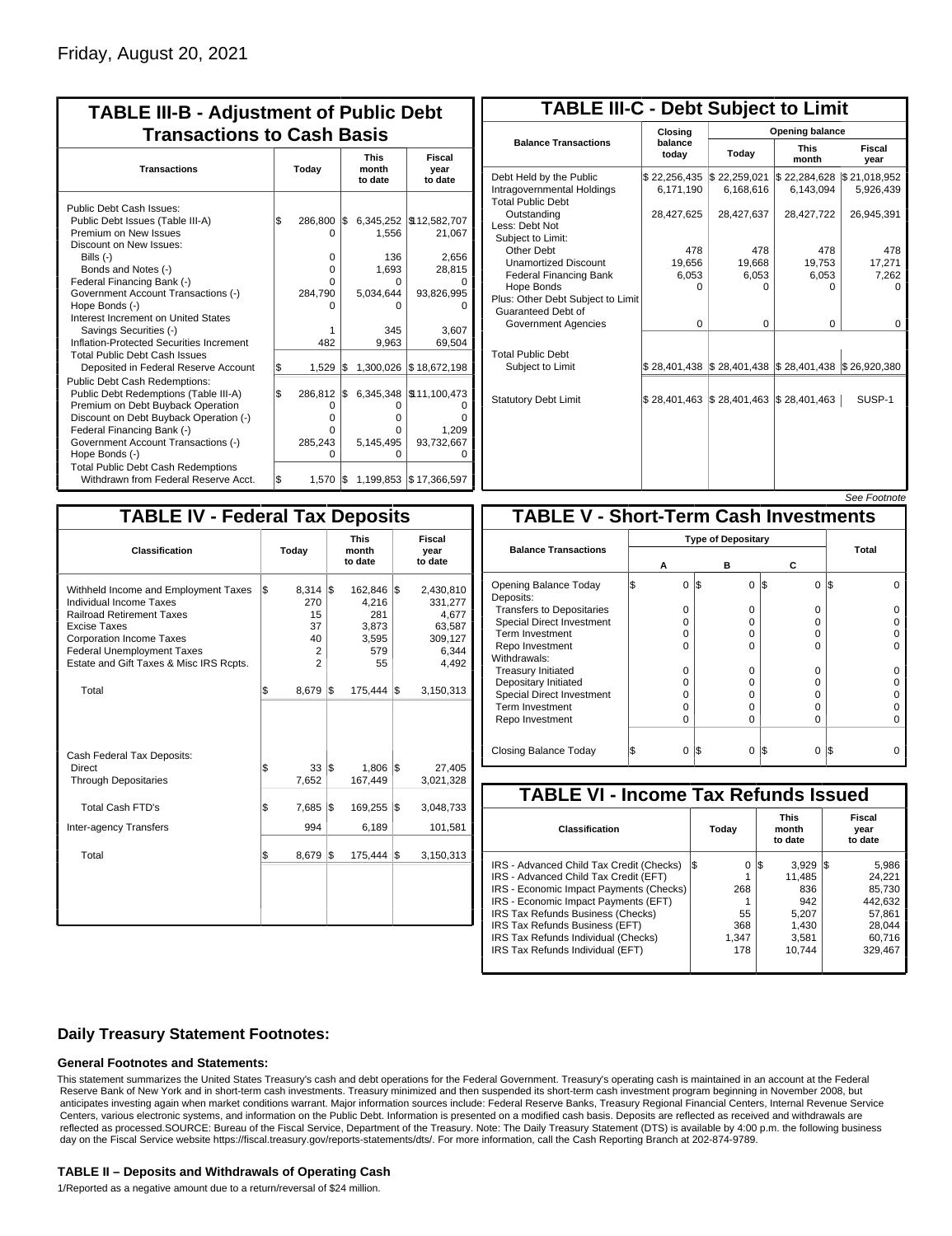| <b>TABLE III-B - Adjustment of Public Debt</b><br><b>Transactions to Cash Basis</b>                                                                                                                                                          |       |                                               |     |                               |                                                          |  |  |  |  |  |  |                                 |                           |
|----------------------------------------------------------------------------------------------------------------------------------------------------------------------------------------------------------------------------------------------|-------|-----------------------------------------------|-----|-------------------------------|----------------------------------------------------------|--|--|--|--|--|--|---------------------------------|---------------------------|
| <b>Transactions</b>                                                                                                                                                                                                                          | Today |                                               |     |                               |                                                          |  |  |  |  |  |  | <b>This</b><br>month<br>to date | Fiscal<br>year<br>to date |
| Public Debt Cash Issues:<br>Public Debt Issues (Table III-A)<br>Premium on New Issues<br>Discount on New Issues:<br>Bills (-)                                                                                                                | 1\$   | 286,800<br>O<br>0                             | l\$ | 1.556<br>136                  | 6,345,252   \$12,582,707<br>21,067<br>2,656              |  |  |  |  |  |  |                                 |                           |
| Bonds and Notes (-)<br>Federal Financing Bank (-)<br>Government Account Transactions (-)<br>Hope Bonds (-)                                                                                                                                   |       | 0<br>O<br>284,790                             |     | 1,693<br>n<br>5,034,644<br>ი  | 28,815<br>93,826,995                                     |  |  |  |  |  |  |                                 |                           |
| Interest Increment on United States<br>Savings Securities (-)<br>Inflation-Protected Securities Increment<br><b>Total Public Debt Cash Issues</b>                                                                                            |       | 482                                           |     | 345<br>9.963                  | 3.607<br>69,504                                          |  |  |  |  |  |  |                                 |                           |
| Deposited in Federal Reserve Account                                                                                                                                                                                                         | \$    | 1.529                                         | l\$ | 1,300,026                     | \$18,672,198                                             |  |  |  |  |  |  |                                 |                           |
| Public Debt Cash Redemptions:<br>Public Debt Redemptions (Table III-A)<br>Premium on Debt Buyback Operation<br>Discount on Debt Buyback Operation (-)<br>Federal Financing Bank (-)<br>Government Account Transactions (-)<br>Hope Bonds (-) | \$    | 286,812<br>0<br>$\Omega$<br>U<br>285,243<br>O | l\$ | 0<br>o<br>o<br>5,145,495<br>o | 6,345,348 \\$11,100,473<br>n<br>1,209<br>93,732,667<br>n |  |  |  |  |  |  |                                 |                           |
| <b>Total Public Debt Cash Redemptions</b><br>Withdrawn from Federal Reserve Acct.                                                                                                                                                            | l\$   | 1.570                                         |     |                               | $\frac{1}{3}$ 1,199,853 $\frac{1}{3}$ 17,366,597         |  |  |  |  |  |  |                                 |                           |

| <b>TABLE III-C - Debt Subject to Limit</b>                                        |                           |                           |                           |                           |  |  |  |  |  |
|-----------------------------------------------------------------------------------|---------------------------|---------------------------|---------------------------|---------------------------|--|--|--|--|--|
|                                                                                   | Closing                   | Opening balance           |                           |                           |  |  |  |  |  |
| <b>Balance Transactions</b>                                                       | balance<br>Today<br>today |                           | <b>This</b><br>month      | Fiscal<br>year            |  |  |  |  |  |
| Debt Held by the Public<br>Intragovernmental Holdings<br><b>Total Public Debt</b> | \$22,256,435<br>6,171,190 | \$22,259,021<br>6,168,616 | \$22,284,628<br>6,143,094 | \$21,018,952<br>5,926,439 |  |  |  |  |  |
| Outstanding<br>Less: Debt Not<br>Subject to Limit:                                | 28,427,625                | 28,427,637                | 28,427,722                | 26,945,391                |  |  |  |  |  |
| Other Debt                                                                        | 478                       | 478                       | 478                       | 478                       |  |  |  |  |  |
| <b>Unamortized Discount</b>                                                       | 19,656                    | 19,668                    | 19,753                    | 17,271                    |  |  |  |  |  |
| <b>Federal Financing Bank</b>                                                     | 6,053                     | 6,053                     | 6,053                     | 7,262                     |  |  |  |  |  |
| Hope Bonds<br>Plus: Other Debt Subject to Limit<br>Guaranteed Debt of             | $\Omega$                  | O                         | U                         | n                         |  |  |  |  |  |
| Government Agencies                                                               | $\Omega$                  | 0                         | $\Omega$                  | 0                         |  |  |  |  |  |
| <b>Total Public Debt</b><br>Subject to Limit                                      | \$28.401.438              | \$28,401,438              | \$28,401,438              | \$26,920,380              |  |  |  |  |  |
| <b>Statutory Debt Limit</b>                                                       | \$28,401,463              | \$28,401,463              | \$28,401,463              | SUSP-1                    |  |  |  |  |  |
|                                                                                   |                           |                           |                           |                           |  |  |  |  |  |

#### See Footnote

| <b>TABLE IV - Federal Tax Deposits</b>                                                                                                                                                                                                        |     |                                                |     |                                                        |     |                                                                      |  |  |  |
|-----------------------------------------------------------------------------------------------------------------------------------------------------------------------------------------------------------------------------------------------|-----|------------------------------------------------|-----|--------------------------------------------------------|-----|----------------------------------------------------------------------|--|--|--|
| Classification                                                                                                                                                                                                                                |     | Today                                          |     | <b>This</b><br>month<br>to date                        |     | <b>Fiscal</b><br>year<br>to date                                     |  |  |  |
| Withheld Income and Employment Taxes<br>Individual Income Taxes<br><b>Railroad Retirement Taxes</b><br><b>Excise Taxes</b><br><b>Corporation Income Taxes</b><br><b>Federal Unemployment Taxes</b><br>Estate and Gift Taxes & Misc IRS Rcpts. | l\$ | $8,314$ \\$<br>270<br>15<br>37<br>40<br>2<br>2 |     | 162,846<br>4,216<br>281<br>3,873<br>3,595<br>579<br>55 | 1\$ | 2,430,810<br>331,277<br>4,677<br>63,587<br>309,127<br>6,344<br>4,492 |  |  |  |
| Total                                                                                                                                                                                                                                         | \$  | $8,679$ \$                                     |     | 175,444                                                | 1\$ | 3,150,313                                                            |  |  |  |
| Cash Federal Tax Deposits:<br>Direct<br><b>Through Depositaries</b>                                                                                                                                                                           | \$  | 33 S<br>7,652                                  |     | 1,806<br>167,449                                       | l\$ | 27,405<br>3,021,328                                                  |  |  |  |
| Total Cash FTD's                                                                                                                                                                                                                              | \$  | 7,685                                          | 1\$ | 169,255                                                | 1\$ | 3,048,733                                                            |  |  |  |
| <b>Inter-agency Transfers</b>                                                                                                                                                                                                                 |     | 994                                            |     | 6,189                                                  |     | 101,581                                                              |  |  |  |
| Total                                                                                                                                                                                                                                         | l\$ | 8,679                                          | 1\$ | 175,444                                                | l\$ | 3,150,313                                                            |  |  |  |
|                                                                                                                                                                                                                                               |     |                                                |     |                                                        |     |                                                                      |  |  |  |

| <b>TABLE V - Short-Term Cash Investments</b> |   |                           |          |                 |       |  |  |  |  |  |
|----------------------------------------------|---|---------------------------|----------|-----------------|-------|--|--|--|--|--|
|                                              |   | <b>Type of Depositary</b> |          |                 |       |  |  |  |  |  |
| <b>Balance Transactions</b>                  | А |                           | в        | С               | Total |  |  |  |  |  |
| Opening Balance Today<br>Deposits:           | 0 | l\$                       | $\Omega$ | $\Omega$<br>I\$ | I\$   |  |  |  |  |  |
| <b>Transfers to Depositaries</b>             | 0 |                           | $\Omega$ | $\Omega$        |       |  |  |  |  |  |
| <b>Special Direct Investment</b>             | 0 |                           | O        | 0               |       |  |  |  |  |  |
| Term Investment                              | O |                           | O        | 0               |       |  |  |  |  |  |
| Repo Investment                              | O |                           | $\Omega$ | $\Omega$        |       |  |  |  |  |  |
| Withdrawals:                                 |   |                           |          |                 |       |  |  |  |  |  |
| <b>Treasury Initiated</b>                    | O |                           | O        | 0               |       |  |  |  |  |  |
| Depositary Initiated                         | O |                           | O        | 0               |       |  |  |  |  |  |
| Special Direct Investment                    | Ω |                           | O        | 0               |       |  |  |  |  |  |
| <b>Term Investment</b>                       | Ω |                           | O        | 0               |       |  |  |  |  |  |
| Repo Investment                              | O |                           | 0        | $\Omega$        |       |  |  |  |  |  |
|                                              |   |                           |          |                 |       |  |  |  |  |  |
| Closing Balance Today                        | 0 | l\$                       | 0        | I\$<br>0        | 1\$   |  |  |  |  |  |

| <b>TABLE VI - Income Tax Refunds Issued</b> |     |          |                                 |        |     |                           |  |  |  |  |
|---------------------------------------------|-----|----------|---------------------------------|--------|-----|---------------------------|--|--|--|--|
| Classification                              |     | Today    | <b>This</b><br>month<br>to date |        |     | Fiscal<br>year<br>to date |  |  |  |  |
| IRS - Advanced Child Tax Credit (Checks)    | I\$ | $\Omega$ | l\$                             | 3.929  | IS. | 5,986                     |  |  |  |  |
| IRS - Advanced Child Tax Credit (EFT)       |     |          |                                 | 11.485 |     | 24.221                    |  |  |  |  |
| IRS - Economic Impact Payments (Checks)     |     | 268      |                                 | 836    |     | 85.730                    |  |  |  |  |
| IRS - Economic Impact Payments (EFT)        |     |          |                                 | 942    |     | 442.632                   |  |  |  |  |
| IRS Tax Refunds Business (Checks)           |     | 55       |                                 | 5.207  |     | 57.861                    |  |  |  |  |
| IRS Tax Refunds Business (EFT)              |     | 368      |                                 | 1.430  |     | 28.044                    |  |  |  |  |
| IRS Tax Refunds Individual (Checks)         |     | 1.347    |                                 | 3,581  |     | 60.716                    |  |  |  |  |
| IRS Tax Refunds Individual (EFT)            |     | 178      |                                 | 10.744 |     | 329.467                   |  |  |  |  |

## **Daily Treasury Statement Footnotes:**

### **General Footnotes and Statements:**

This statement summarizes the United States Treasury's cash and debt operations for the Federal Government. Treasury's operating cash is maintained in an account at the Federal Reserve Bank of New York and in short-term cash investments. Treasury minimized and then suspended its short-term cash investment program beginning in November 2008, but anticipates investing again when market conditions warrant. Major information sources include: Federal Reserve Banks, Treasury Regional Financial Centers, Internal Revenue Service Centers, various electronic systems, and information on the Public Debt. Information is presented on a modified cash basis. Deposits are reflected as received and withdrawals are reflected as processed.SOURCE: Bureau of the Fiscal Service, Department of the Treasury. Note: The Daily Treasury Statement (DTS) is available by 4:00 p.m. the following business day on the Fiscal Service website https://fiscal.treasury.gov/reports-statements/dts/. For more information, call the Cash Reporting Branch at 202-874-9789.

### **TABLE II – Deposits and Withdrawals of Operating Cash**

1/Reported as a negative amount due to a return/reversal of \$24 million.